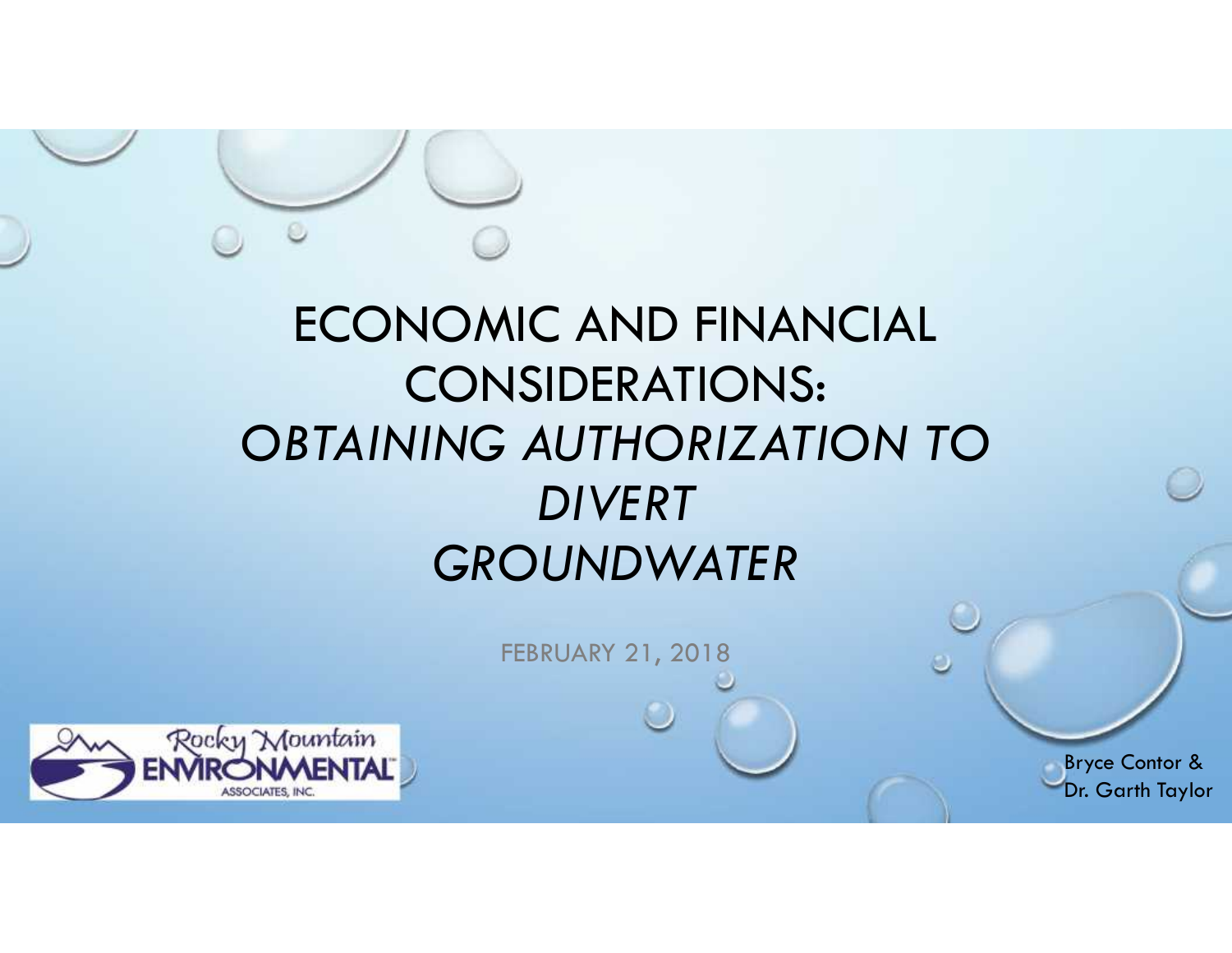## ECONOMIC AND FINANCIAL CONSIDERATIONS: *OBTAINING AUTHORIZATION TO DIVERT GROUNDWATER*

FEBRUARY 21, 2018



Bryce Contor & Dr. Garth Taylor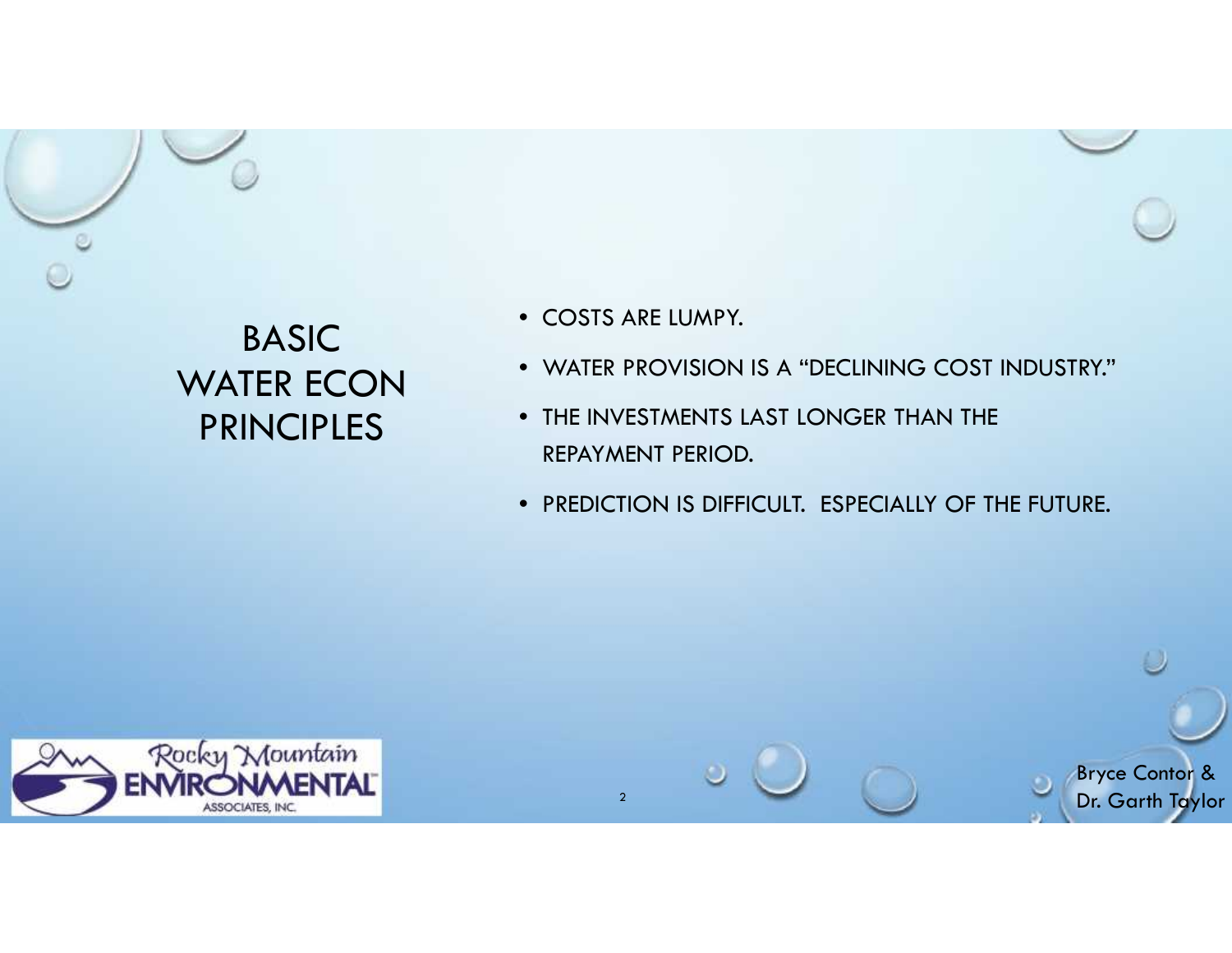## BASIC WATER ECON PRINCIPLES

- COSTS ARE LUMPY.
- WATER PROVISION IS A "DECLINING COST INDUSTRY."
- THE INVESTMENTS LAST LONGER THAN THE REPAYMENT PERIOD.
- REPAYMENT PERIOD.<br>• PREDICTION IS DIFFICULT. ESPECIALLY OF THE FUTURE.

Bryce Contor & Dr. Garth Taylor



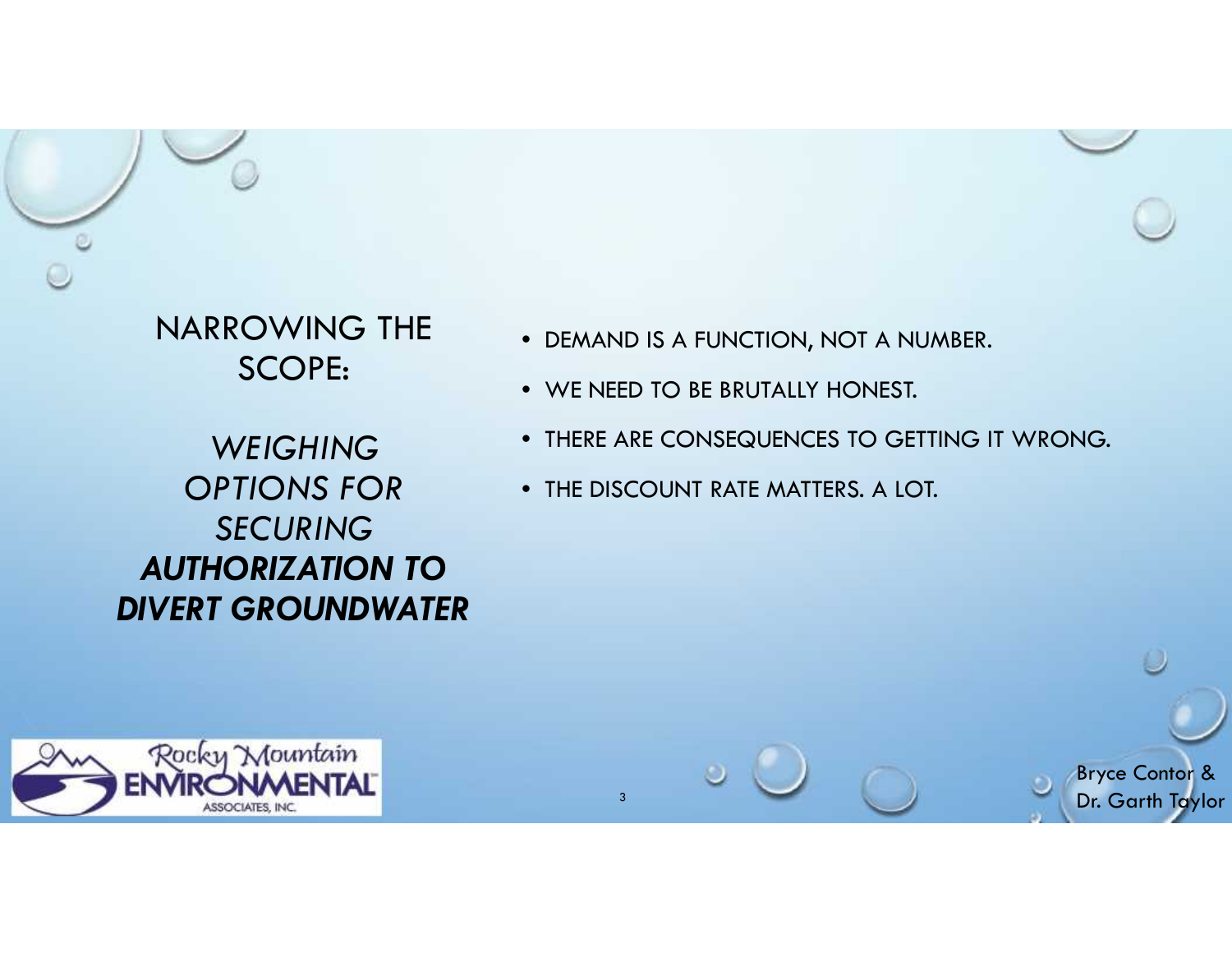NARROWING THE SCOPE:

*WEIGHING OPTIONS FOR SECURING AUTHORIZATION TO DIVERT GROUNDWATER*

- DEMAND IS A FUNCTION, NOT A NUMBER.
- WE NEED TO BE BRUTALLY HONEST. WE NEED TO BE BRUTALLY HONEST.
- THERE ARE CONSEQUENCES TO GETTING IT WRONG.

Bryce Contor & Dr. Garth Taylor

• THE DISCOUNT RATE MATTERS. A LOT.

3

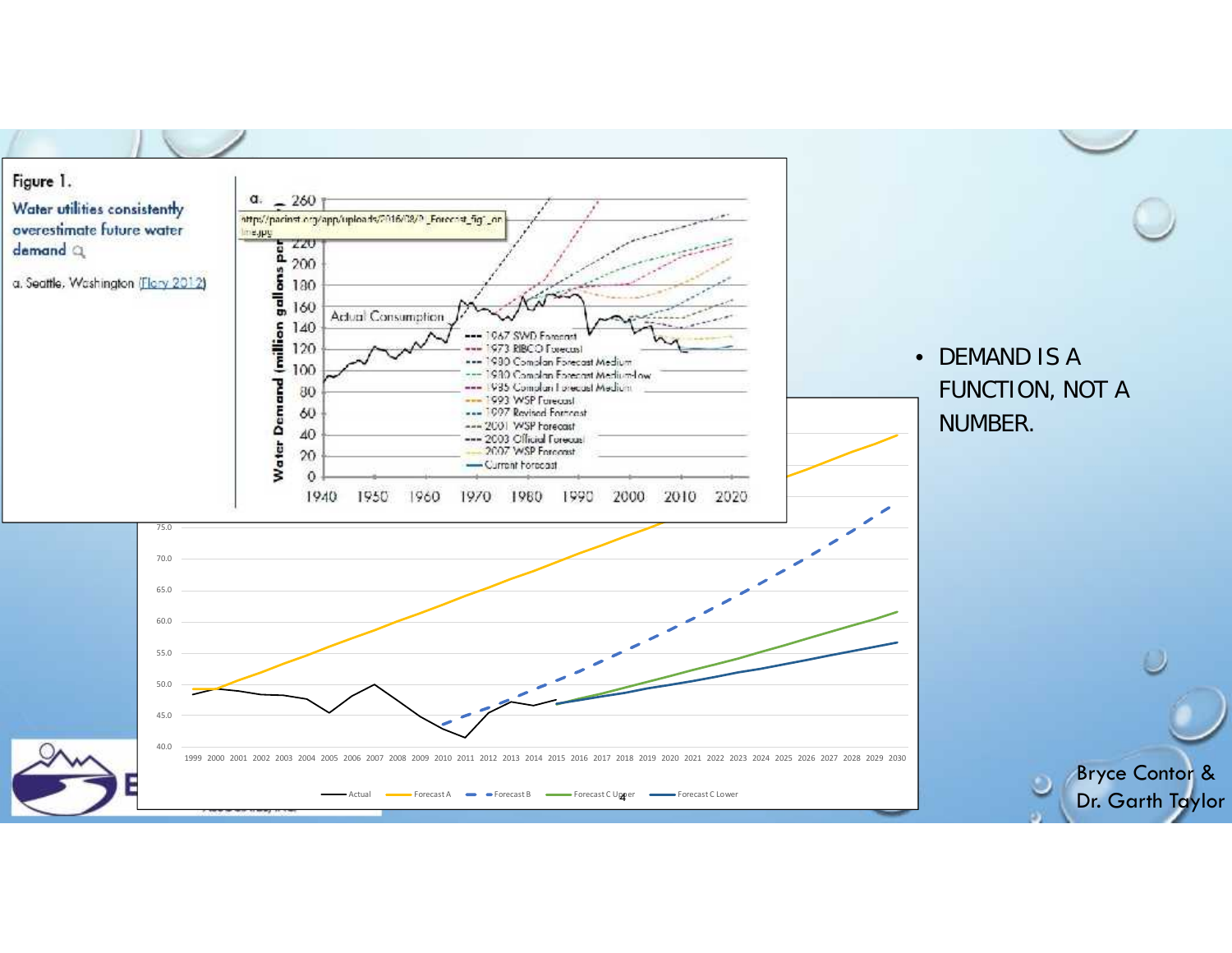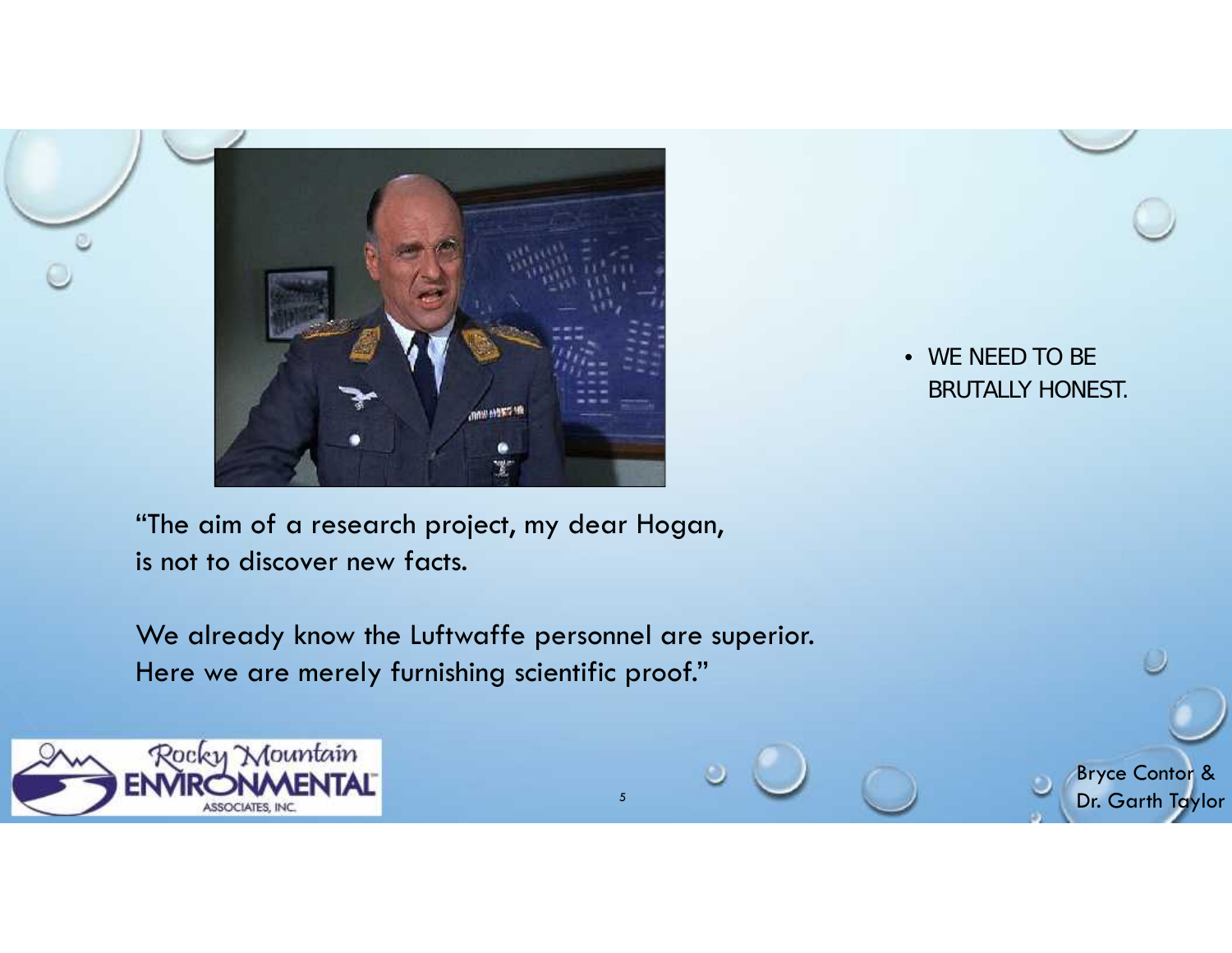

• *WE NEED TO BE BRUTALLY HONEST.*

> Bryce Contor & Dr. Garth Taylor

"The aim of a research project, my dear Hogan, is not to discover new facts.

We already know the Luftwaffe personnel are superior. Here we are merely furnishing scientific proof."

5

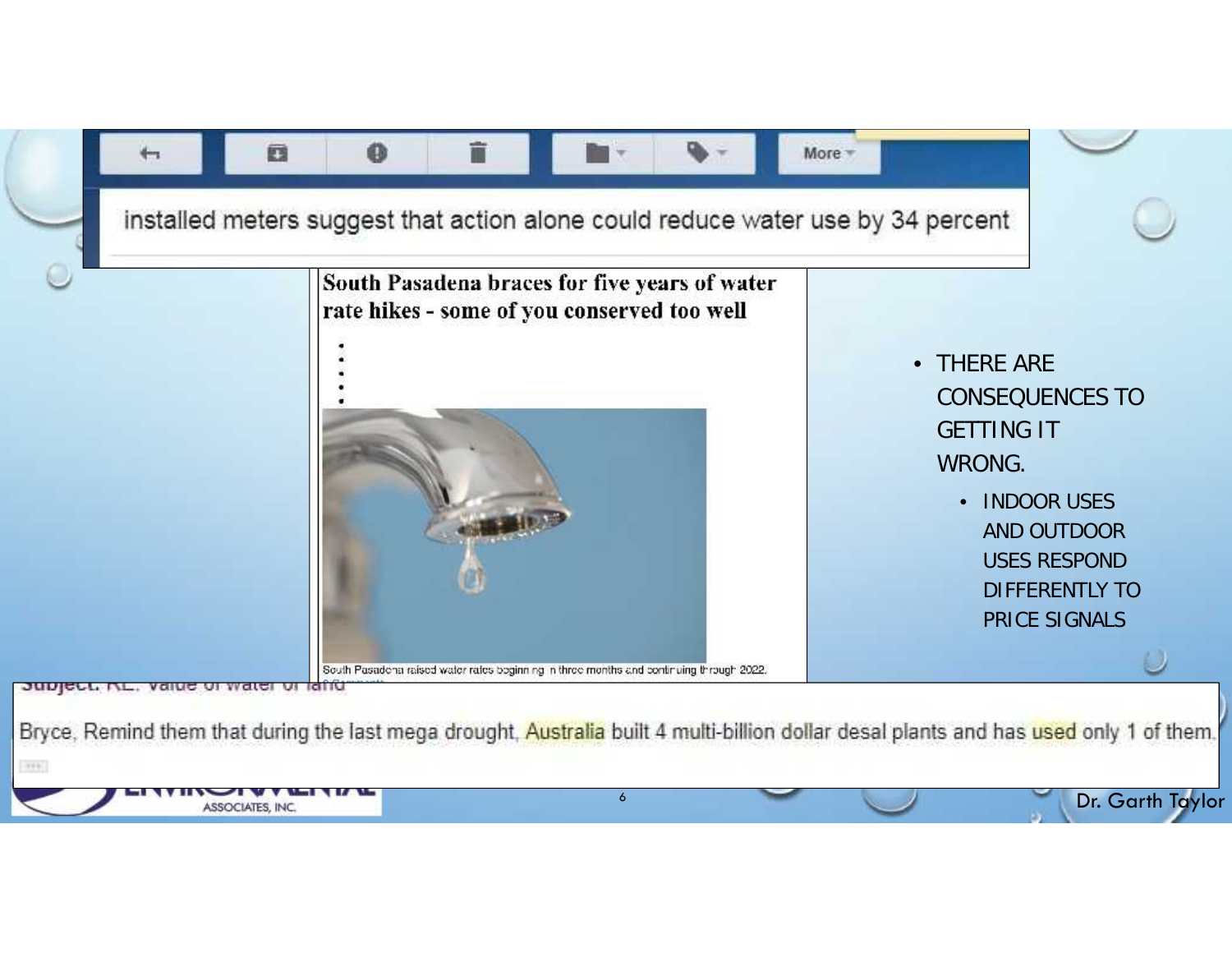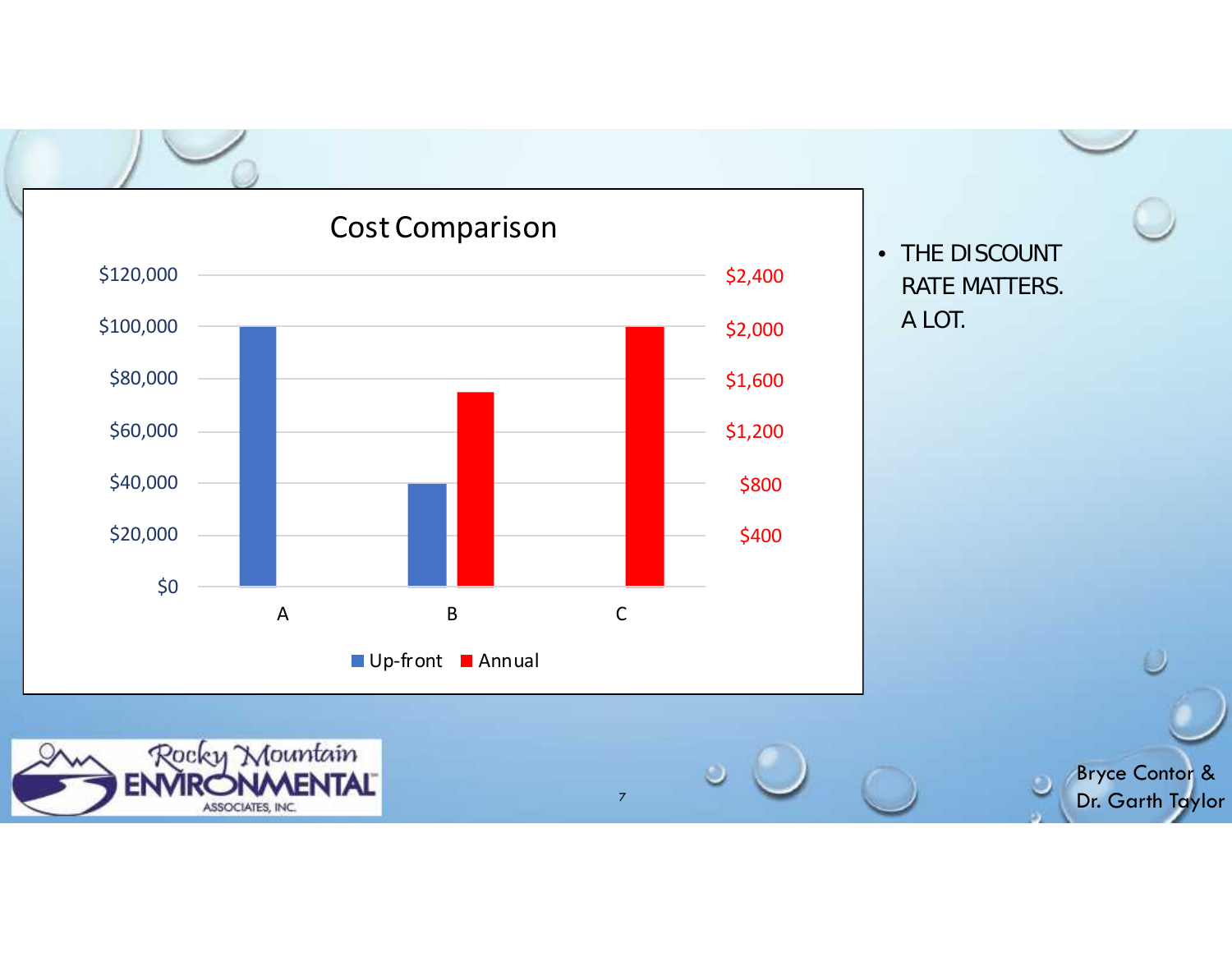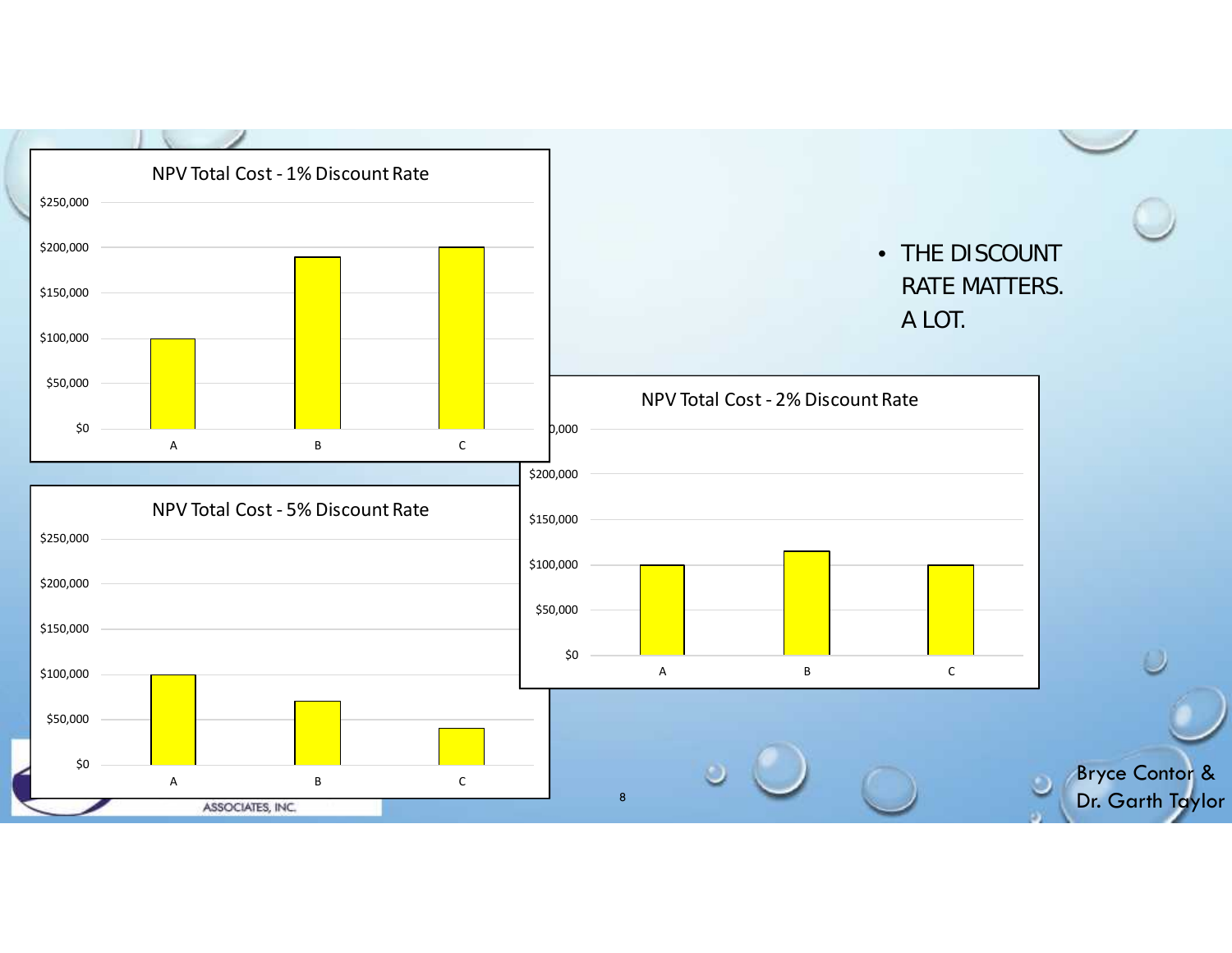